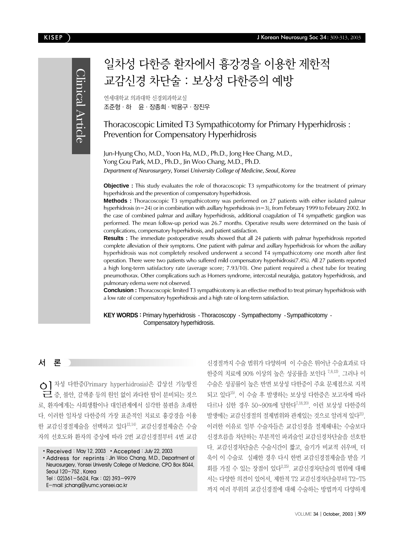#### KISEP J Korean Neurosurg Soc 34 : 309-313, 2003

Clinical Article Clinical Article

# 일차성 다한증 환자에서 흉강경을 이용한 제한적 교감신경 차단술 : 보상성 다한증의 예방

연세대학교 의과대학 신경외과학교실 조준형ㆍ하 윤ㆍ장종희ㆍ박용구ㆍ장진우

Thoracoscopic Limited T3 Sympathicotomy for Primary Hyperhidrosis : Prevention for Compensatory Hyperhidrosis

Jun-Hyung Cho, M.D., Yoon Ha, M.D., Ph.D., Jong Hee Chang, M.D., Yong Gou Park, M.D., Ph.D., Jin Woo Chang, M.D., Ph.D. *Department of Neurosurgery, Yonsei University College of Medicine, Seoul, Korea*

**Objective :** This study evaluates the role of thoracoscopic T3 sympathicotomy for the treatment of primary hyperhidrosis and the prevention of compensatory hyperhidrosis.

**Methods :** Thoracoscopic T3 sympathicotomy was performed on 27 patients with either isolated palmar hyperhidrosis (n=24) or in combination with axillary hyperhidrosis (n=3), from February 1999 to February 2002. In the case of combined palmar and axillary hyperhidrosis, additional coagulation of T4 sympathetic ganglion was performed. The mean follow-up period was 26.7 months. Operative results were determined on the basis of complications, compensatory hyperhidrosis, and patient satisfaction.

**Results :** The immediate postoperative results showed that all 24 patients with palmar hyperhidrosis reported complete alleviation of their symptoms. One patient with palmar and axillary hyperhidrosis for whom the axillary hyperhidrosis was not completely resolved underwent a second T4 sympathicotomy one month after first operation. There were two patients who suffered mild compensatory hyperhidrosis(7.4%). All 27 patients reported a high long-term satisfactory rate (average score; 7.93/10). One patient required a chest tube for treating pneumothorax. Other complications such as Horners syndrome, intercostal neuralgia, gustatory hyperhidrosis, and pulmonary edema were not observed.

**Conclusion :** Thoracoscopic limited T3 sympathicotomy is an effective method to treat primary hyperhidrosis with a low rate of compensatory hyperhidrosis and a high rate of long-term satisfaction.

#### **KEY WORDS :** Primary hyperhidrosis · Thoracoscopy · Sympathectomy · Sympathicotomy · Compensatory hyperhidrosis.

# 서 론

일차성 다한증(Primary hyperhidrosis)은 갑상선 기능항진 증, 불안, 갈색종 등의 원인 없이 과다한 땀이 분비되는 것으 로, 환자에게는 사회생활이나 대인관계에서 심각한 불편을 초래한 다. 이러한 일차성 다한증의 가장 표준적인 치료로 흉강경을 이용 한 교감신경절제술을 선택하고 있다12,14). 교감신경절제술은 수술 자의 선호도와 환자의 증상에 따라 2번 교감신경절부터 4번 교감

• Address for reprints: Jin Woo Chang, M.D., Department of Neurosurgery, Yonsei University College of Medicine, CPO Box 8044, Seoul 120-752 , Korea Tel:02)361-5624, Fax:02) 393-9979 E-mail: jchang@yumc.yonsei.ac.kr

신경절까지 수술 범위가 다양하며 이 수술은 뛰어난 수술효과로 다 한증의 치료에 90% 이상의 높은 성공률을 보인다 7,8,13). 그러나 이 수술은 성공률이 높은 반면 보상성 다한증이 주요 문제점으로 지적 되고 있다15). 이 수술 후 발생하는 보상성 다한증은 보고자에 따라 다르나 심한 경우 50~90%에 달한다7,18,20). 이런 보상성 다한증의 발생에는 교감신경절의 절제범위와 관계있는 것으로 알려져 있다<sup>21)</sup>. 이러한 이유로 일부 수술자들은 교감신경을 절제해내는 수술보다 신경흐름을 차단하는 부분적인 파괴술인 교감신경차단술을 선호한 다. 교감신경차단술은 수술시간이 짧고, 술기가 비교적 쉬우며, 더 욱이 이 수술로 실패한 경우 다시 한번 교감신경절제술을 받을 기 회를 가질 수 있는 장점이 있다<sup>2,25)</sup>. 교감신경차단술의 범위에 대해 서는 다양한 의견이 있어서, 제한적 T2 교감신경차단술부터 T2-T5 까지 여러 부위의 교감신경절에 대해 수술하는 방법까지 다양하게

<sup>•</sup> Received: May 12, 2003 • Accepted: July 22, 2003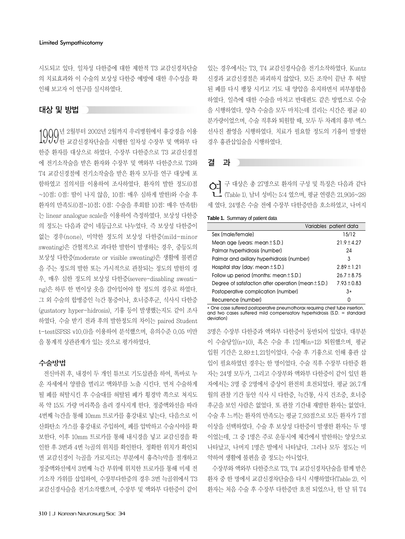#### Limited Sympathicotomy

시도되고 있다. 일차성 다한증에 대한 제한적 T3 교감신경차단술 의 치료효과와 이 수술의 보상성 다한증 예방에 대한 우수성을 확 인해 보고자 이 연구를 실시하였다.

# 대상 및 방법

 $1000$ 년 2월부터 2002년 2월까지 우리병원에서 흉강경을 이용  $1000$ 한 교감신경차단술을 시행한 일차성 수장부 및 액와부 다 한증 환자를 대상으로 하였다. 수장부 다한증으로 T3 교감신경절 에 전기소작술을 받은 환자와 수장부 및 액와부 다한증으로 T3와 T4 교감신경절에 전기소작술을 받은 환자 모두를 연구 대상에 포 함하였고 질의서를 이용하여 조사하였다. 환자의 발한 정도(0점 ~10점; 0점: 땀이 나지 않음, 10점: 매우 심하게 발한)와 수술 후 환자의 만족도(0점~10점; 0점: 수술을 후회함 10점: 매우 만족함) 는 linear analogue scale을 이용하여 측정하였다. 보상성 다한증 의 정도는 다음과 같이 네등급으로 나누었다. 즉 보상성 다한증이 없는 경우(none), 미약한 정도의 보상성 다한증(mild-minor sweating)은 간헐적으로 과다한 발한이 발생하는 경우, 중등도의 보상성 다한증(moderate or visible sweating)은 생활에 불편감 을 주는 정도의 발한 또는 가시적으로 관찰되는 정도의 발한의 경 우, 매우 심한 정도의 보상성 다한증(severe-disabling sweating)은 하루 한 번이상 옷을 갈아입어야 할 정도의 경우로 하였다. 그 외 수술의 합병증인 늑간 통증이나, 호너증후군, 식사시 다한증 (gustatory hyper-hidrosis), 기흉 등이 발생했는지도 같이 조사 하였다. 수술 받기 전과 후의 발한정도의 차이는 paired Student t-test(SPSS v10.0)을 이용하여 분석했으며, 유의수준 0.05 미만 을 통계적 상관관계가 있는 것으로 평가하였다.

### 수술방법

전신마취 후, 내경이 두 개인 튜브로 기도삽관을 하여, 똑바로 누 운 자세에서 양팔을 벌리고 액와부를 노출 시킨다. 먼저 수술하게 될 폐를 허탈시킨 후 수술대를 허탈된 폐가 횡경막 쪽으로 쳐지도 록 약 15도 가량 머리쪽을 올려 경사지게 한다. 정중액와선을 따라 4번째 늑간을 통해 10mm 트로카를 흉강내로 넣는다. 다음으로 이 산화탄소 가스를 흉강내로 주입하여, 폐를 압박하고 수술시야를 확 보한다. 이후 10mm 트로카를 통해 내시경을 넣고 교감신경을 확 인한 후 3번과 4번 늑골의 위치를 확인한다. 정확한 위치가 확인되 면 교감신경이 늑골을 가로지르는 부분에서 흉측늑막을 절개하고 정중액와선에서 3번째 늑간 부위에 위치한 트로카를 통해 미세 전 기소작 가위를 삽입하여, 수장부다한증의 경우 3번 늑골위에서 T3 교감신경사슬을 전기소작했으며, 수장부 및 액와부 다한증이 같이

있는 경우에서는 T3, T4 교감신경사슬을 전기소작하였다. Kuntz 신경과 교감신경절은 파괴하지 않았다. 모든 조작이 끝난 후 허탈 된 폐를 다시 팽창 시키고 기도 내 양압을 유지하면서 피부봉합을 하였다. 일측에 대한 수술을 마치고 반대편도 같은 방법으로 수술 을 시행하였다. 양측 수술을 모두 마치는데 걸리는 시간은 평균 40 분가량이었으며, 수술 직후와 퇴원할 때, 모두 두 차례의 흉부 엑스 선사진 촬영을 시행하였다. 치료가 필요할 정도의 기흉이 발생한 경우 흉관삽입술을 시행하였다.

# 결 과

연구 대상은 총 27명으로 환자의 구성 및 특징은 다음과 같다 (Table 1). 남녀 성비는 5:4 였으며, 평균 연령은 21.9(16~28) 세 였다. 24명은 수술 전에 수장부 다한증만을 호소하였고, 나머지

#### **Table 1.** Summary of patient data

|                                                          | Variables patient data |
|----------------------------------------------------------|------------------------|
| Sex (male/female)                                        | 15/12                  |
| Mean age (years; mean $\pm$ S.D.)                        | $21.9 \pm 4.27$        |
| Palmar hyperhidrosis (number)                            | 24                     |
| Palmar and axillary hyperhidrosis (number)               | 3                      |
| Hospital stay (day; mean $\pm$ S.D.)                     | $2.89 \pm 1.21$        |
| Follow up period (months; mean $\pm$ S.D.)               | $26.7 \pm 8.75$        |
| Degree of satisfaction after operation (mean $\pm$ S.D.) | $7.93 \pm 0.83$        |
| Postoperative complication (number)                      | $3*$                   |
| Recurrence (number)                                      | n                      |

\* One case suffered postoperative pneumothorax requiring chest tube insertion, and two cases suffered mild compensatory hyperhidrosis (S.D. = standard deviation)

3명은 수장부 다한증과 액와부 다한증이 동반되어 있었다. 대부분 이 수술당일(n=10), 혹은 수술 후 1일째(n=12) 퇴원했으며, 평균 입원 기간은 2.89±1.21일이었다. 수술 후 기흉으로 인해 흉관 삽 입이 필요하였던 경우는 한 명이었다. 수술 직후 수장부 다한증 환 자는 24명 모두가, 그리고 수장부와 액와부 다한증이 같이 있던 환 자에서는 3명 중 2명에서 증상이 완전히 호전되었다. 평균 26.7개 월의 관찰 기간 동안 식사 시 다한증, 늑간통, 사지 건조증, 호너증 후군을 보인 사람은 없었다. 또 관찰 기간내 재발한 환자는 없었다. 수술 후 느끼는 환자의 만족도는 평균 7.93점으로 모든 환자가 7점 이상을 선택하였다. 수술 후 보상성 다한증이 발생한 환자는 두 명 이었는데, 그 중 1명은 주로 운동시에 체간에서 발한하는 양상으로 나타났고, 나머지 1명은 발에서 나타났다. 그러나 모두 정도는 미 약하여 생활에 불편을 줄 정도는 아니었다.

수장부와 액와부 다한증으로 T3, T4 교감신경차단술을 함께 받은 환자 중 한 명에서 교감신경차단술을 다시 시행하였다(Table 2). 이 환자는 처음 수술 후 수장부 다한증만 호전 되었으나, 한 달 뒤 T4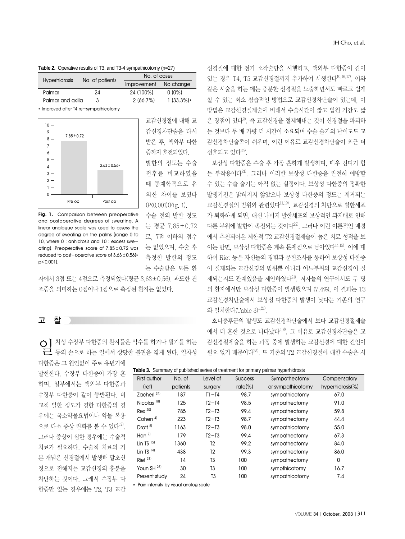|  |  |  | Table 2. Operative results of T3, and T3-4 sympathicotomy (n=27) |  |
|--|--|--|------------------------------------------------------------------|--|
|--|--|--|------------------------------------------------------------------|--|

| <b>Hyperhidrosis</b> | No. of patients | No. of cases       |              |  |
|----------------------|-----------------|--------------------|--------------|--|
|                      |                 | <b>Improvement</b> | No change    |  |
| Palmar               | 24              | 24 (100%)          | $0(0\%)$     |  |
| Palmar and axilla    | 3               | 2(66.7%)           | $1(33.3\%)*$ |  |

\* Improved after T4 re-sympathicotomy



**Fig. 1.** Comparison between preoperative and postoperative degrees of sweating. A linear analogue scale was used to assess the degree of sweating on the palms (range 0 to 10, where 0 : anhidrosis and 10 : excess sweating). Preoperative score of 7.85±0.72 was reduced to post-operative score of  $3.63 \pm 0.56$ (\* p<0.001).

자에서 3점 또는 4점으로 측정되었다(평균 3.63±0.56). 과도한 건 조증을 의미하는 0점이나 1점으로 측정된 환자는 없었다.

# 고 찰

**○**】 차성 수장부 다한증의 환자들은 악수를 하거나 필기를 하는<br>├─ 등의 손으로 하는 일에서 상당한 불편을 겪게 된다. 일차성

다한증은 그 원인없이 주로 유년기에 발현한다. 수장부 다한증이 가장 흔 하며, 일부에서는 액와부 다한증과 수장부 다한증이 같이 동반된다. 비 교적 발한 정도가 경한 다한증의 경 우에는 국소약물요법이나 약물 복용 으로 다소 증상 완화를 볼 수 있다<sup>17)</sup>. 그러나 증상이 심한 경우에는 수술적 치료가 필요하다. 수술적 치료의 기 본 개념은 신경절에서 발생해 말초신 경으로 전해지는 교감신경의 흥분을 차단하는 것이다. 그래서 수장부 다 한증만 있는 경우에는 T2, T3 교감

교감신경절에 대해 교 감신경차단술을 다시 받은 후, 액와부 다한 증까지호전되었다. 발한의 정도는 수술 전후를 비교하였을 때 통계학적으로 유 의한 차이를 보였다 (P<0.001)(Fig. 1). 수술 전의 발한 정도 는 평균 7.85±0.72 로, 7점 이하의 점수

는 없었으며, 수술 후 측정한 발한의 정도 는 수술받은 모든 환

있는 경우 T4, T5 교감신경절까지 추가하여 시행한다10,16,17). 이와 같은 시술을 하는 데는 충분한 신경절을 노출하면서도 빠르고 쉽게 할 수 있는 최소 침습적인 방법으로 교감신경차단술이 있는데, 이 방법은 교감신경절제술에 비해서 수술시간이 짧고 입원 기간도 짧 은 장점이 있다2). 즉 교감신경을 절제해내는 것이 신경절을 파괴하 는 것보다 두 배 가량 더 시간이 소요되며 수술 술기의 난이도도 교 감신경차단술쪽이 쉬우며, 이런 이유로 교감신경차단술이 최근 더 선호되고 있다25).

신경절에 대한 전기 소작술만을 시행하고, 액와부 다한증이 같이

보상성 다한증은 수술 후 가장 흔하게 발생하며, 매우 견디기 힘 든 부작용이다21). 그러나 이러한 보상성 다한증을 완전히 예방할 수 있는 수술 술기는 아직 없는 실정이다. 보상성 다한증의 정확한 발생기전은 밝혀지지 않았으나 보상성 다한증의 정도는 제거되는 교감신경절의 범위와 관련있다<sup>11,19)</sup>. 교감신경의 차단으로 발한세포 가 퇴화하게 되면, 대신 나머지 발한세포의 보상적인 과지배로 인해 다른 부위에 발한이 촉진되는 것이다22). 그러나 이런 이론적인 배경 에서 추천되어온 제한적 T2 교감신경절제술이 높은 치료 성적을 보 이는 반면, 보상성 다한증은 계속 문제점으로 남아있다14,15). 이에 대 하여 Riet 등은 자신들의 경험과 문헌조사를 통하여 보상성 다한증 이 절제되는 교감신경의 범위뿐 아니라 어느부위의 교감신경이 절 제되는지도 관계있음을 제안하였다<sup>21)</sup>. 저자들의 연구에서도 두 명 의 환자에서만 보상성 다한증이 발생했으며 (7.4%), 이 결과는 T3 교감신경차단술에서 보상성 다한증의 발생이 낮다는 기존의 연구 와 일치한다(Table 3)1,21).

호너증후군의 발생도 교감신경차단술에서 보다 교감신경절제술 에서 더 흔한 것으로 나타났다5,8). 그 이유로 교감신경차단술은 교 감신경절제술을 하는 과정 중에 발생하는 교감신경에 대한 견인이 필요 없기 때문이다<sup>25</sup>. 또 기존의 T2 교감신경절에 대한 수술은 시

| First author           | No. of   | <b>The Community of parametrical components of the continual to primitive promitive influential conditions</b><br>Level of | <b>Success</b> | Sympathectomy     | Compensatory     |
|------------------------|----------|----------------------------------------------------------------------------------------------------------------------------|----------------|-------------------|------------------|
| (ref)                  | patients | surgery                                                                                                                    | $rate$ %)      | or sympathicotomy | hyperhidrosis(%) |
| Zacherl <sup>24)</sup> | 187      | $T1 - T4$                                                                                                                  | 98.7           | sympathicotomy    | 67.0             |
| Nicolas <sup>18)</sup> | 125      | $T2-T4$                                                                                                                    | 98.5           | sympathectomy     | 91.0             |
| $Rex$ $20$             | 785      | $T2-T3$                                                                                                                    | 99.4           | sympathectomy     | 59.8             |
| Cohen <sup>4)</sup>    | 223      | $T2-T3$                                                                                                                    | 98.7           | sympathectomy     | 44.4             |
| Drott <sup>5)</sup>    | 1163     | $T2-T3$                                                                                                                    | 98.0           | sympathicotomy    | 55.0             |
| Han $7$                | 179      | $T2-T3$                                                                                                                    | 99.4           | sympathectomy     | 67.3             |
| Lin TS $15$            | 1360     | Т2                                                                                                                         | 99.2           | sympathectomy     | 84.0             |
| Lin TS $14$            | 438      | T2                                                                                                                         | 99.3           | sympathectomy     | 86.0             |
| Riet <sup>21</sup>     | 14       | T3                                                                                                                         | 100            | sympathectomy     | 0                |
| Youn SH <sup>23)</sup> | 30       | T3                                                                                                                         | 100            | sympthicotomy     | 16.7             |
| Present study          | 24       | T3                                                                                                                         | 100            | sympathicotomy    | 7.4              |

**Table 3.** Summary of published series of treatment for primary palmar hyperhidrosis

\* Pain intensity by visual analog scale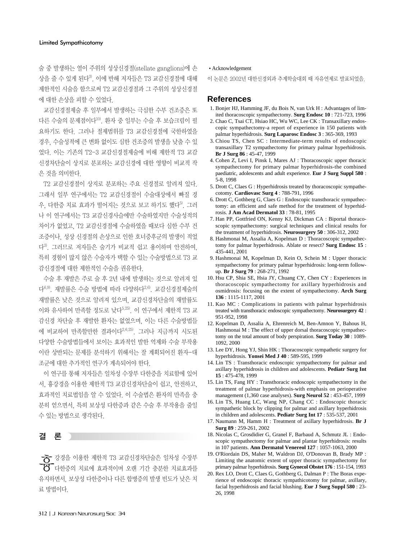술 중 발생하는 열이 주위의 성상신경절(stellate ganglions)에 손 상을 줄 수 있게 된다3). 이에 반해 저자들은 T3 교감신경절에 대해 제한적인 시술을 함으로써 T2 교감신경절과 그 주위의 성상신경절 에 대한 손상을 피할 수 있었다.

교감신경절제술 후 일부에서 발생하는 극심한 수부 건조증은 또 다른 수술의 문제점이다10). 환자 중 일부는 수술 후 보습크림이 필 요하기도 한다. 그러나 절제범위를 T3 교감신경절에 국한하였을 경우, 수술성적에 큰 변화 없이도 심한 건조증의 발생을 낮출 수 있 었다. 이는 기존의 T2-3 교감신경절제술에 비해 제한적 T3 교감 신경차단술이 상지로 분포하는 교감신경에 대한 영향이 비교적 작 은 것을 의미한다.

T2 교감신경절이 상지로 분포하는 주요 신경절로 알려져 있다. 그래서 일부 연구에서는 T2 교감신경절이 수술대상에서 빠질 경 우, 다한증 치료 효과가 떨어지는 것으로 보고 하기도 했다<sup>5)</sup>. 그러 나 이 연구에서는 T3 교감신경사슬에만 수술하였지만 수술성적의 차이가 없었고, T2 교감신경절에 수술하였을 때보다 심한 수부 건 조증이나, 성상 신경절의 손상으로 인한 호너증후군의 발생이 적었 다3). 그러므로 저자들은 술기가 비교적 쉽고 용이하며 안전하여, 특히 경험이 많지 않은 수술자가 택할 수 있는 수술방법으로 T3 교 감신경절에 대한 제한적인 수술을 권유한다.

수술 후 재발은 주로 술 후 2년 내에 발생하는 것으로 알려져 있 다6,9). 재발률은 수술 방법에 따라 다양하다2,6). 교감신경절제술의 재발률은 낮은 것으로 알려져 있으며, 교감신경차단술의 재발률도 이와 유사하여 만족할 정도로 낮다 $^{5,25)}$ . 이 연구에서 제한적 T3 교 감신경 차단술 후 재발한 환자는 없었으며, 이는 다른 수술방법들 에 비교하여 만족할만한 결과이다2,6,25). 그러나 지금까지 시도된 다양한 수술방법들에서 보이는 효과적인 발한 억제와 수술 부작용 이란 상반되는 문제를 분석하기 위해서는 잘 계획되어진 환자-대 조군에 대한 추가적인 연구가 계속되어야 한다.

이 연구를 통해 저자들은 일차성 수장부 다한증을 치료함에 있어 서, 흉강경을 이용한 제한적 T3 교감신경차단술이 쉽고, 안전하고, 효과적인 치료법임을 알 수 있었다. 이 수술법은 환자의 만족을 충 분히 얻으면서, 특히 보상성 다한증과 같은 수술 후 부작용을 줄일 수 있는 방법으로 생각된다.

## 결 론

흉강경을 이용한 제한적 T3 교감신경차단술은 일차성 수장부 다한증의 치료에 효과적이며 오랜 기간 충분한 치료효과를 유지하면서, 보상성 다한증이나 다른 합병증의 발생 빈도가 낮은 치 료 방법이다.

#### Acknowledgement

이 논문은 2002년 대한신경외과 추계학술대회 때 자유연제로 발표되었음.

#### **References**

- 1. Bonjer HJ, Hamming JF, du Bois N, van Urk H : Advantages of limited thoracoscopic sympathectomy. **Surg Endosc 10** : 721-723, 1996
- 2. Chao C, Tsai CT, Hsiao HC, Wu WC, Lee CK : Transaxillary endoscopic sympathectomy-a report of experience in 150 patients with palmar hyperhidrosis. **Surg Laparosc Endosc 3** : 365-369, 1993
- 3. Chiou TS, Chen SC : Intermediate-term results of endoscopic transaxillary T2 sympathectomy for primary palmar hyperhidrosis. **Br J Surg 86** : 45-47, 1999
- 4. Cohen Z, Levi I, Pinsk I, Mares AJ : Thoracoscopic upper thoracic sympathectomy for primary palmar hyperhidrosis-the combined paediatric, adolescents and adult experience. **Eur J Surg Suppl 580** : 5-8, 1998
- 5. Drott C, Claes G : Hyperhidrosis treated by thoracoscopic sympathecotomy. **Cardiovasc Surg 4** : 788-791, 1996
- 6. Drott C, Gothberg G, Claes G : Endoscopic transthoracic sympathectomy: an efficient and safe method for the treatment of hyperhidrosis. **J Am Acad Dermatol 33** : 78-81, 1995
- 7. Han PP, Gottfried ON, Kenny KJ, Dickman CA : Biportal thoracoscopic sympathectomy: surgical techniques and clinical results for the treatment of hyperhidrosis. **Neurosurgery 50** : 306-312, 2002
- 8. Hashmonai M, Assalia A, Kopelman D : Thoracoscopic sympathectomy for palmar hyperhidrosis. Ablate or resect? **Surg Endosc 15** : 435-441, 2001
- 9. Hashmonai M, Kopelman D, Kein O, Schein M : Upper thoracic sympathectomy for primary palmar hyperhidrosis: long-term followup. **Br J Surg 79** : 268-271, 1992
- 10. Hsu CP, Shia SE, Hsia JY, Chuang CY, Chen CY : Experiences in thoracoscopic sympathectomy for axillary hyperhidrosis and osmidrosis: focusing on the extent of sympathectomy. **Arch Surg 136** : 1115-1117, 2001
- 11. Kao MC : Complications in patients with palmar hyperhidrosis treated with transthoracic endoscopic sympathectomy. **Neurosurgery 42** : 951-952, 1998
- 12. Kopelman D, Assalia A, Ehrenreich M, Ben-Amnon Y, Bahous H, Hashmonai M : The effect of upper dorsal thoracoscopic sympathectomy on the total amount of body perspiration. **Surg Today 30** : 1089- 1092, 2000
- 13. Lee DY, Hong YJ, Shin HK : Thoracoscopic sympathetic surgery for hyperhidrosis. **Yonsei Med J 40** : 589-595, 1999
- 14. Lin TS : Transthoracic endoscopic sympathectomy for palmar and axillary hyperhidrosis in children and adolescents. **Pediatr Surg Int 15** : 475-478, 1999
- 15. Lin TS, Fang HY : Transthoracic endoscopic sympathectomy in the treatment of palmar hyperhidrosis-with emphasis on perioperative management (1,360 case analyses). **Surg Neurol 52** : 453-457, 1999
- 16. Lin TS, Huang LC, Wang NP, Chang CC : Endoscopic thoracic sympathetic block by clipping for palmar and axillary hyperhidrosis in children and adolescents. **Pediatr Surg Int 17** : 535-537, 2001
- 17. Naumann M, Hamm H : Treatment of axillary hyperhidrosis. **Br J Surg 89** : 259-261, 2002
- 18. Nicolas C, Grosdidier G, Granel F, Barbaud A, Schmutz JL : Endoscopic sympathectomy for palmar and plantar hyperhidrosis: results in 107 patients. **Ann Dermatol Venereol 127** : 1057-1063, 2000
- 19. O'Riordain DS, Maher M, Waldron DJ, O'Donovan B, Brady MP : Limiting the anatomic extent of upper thoracic sympathectomy for primary palmar hyperhidrosis. **Surg Gynecol Obstet 176** : 151-154, 1993
- 20. Rex LO, Drott C, Claes G, Gothberg G, Dalman P : The Boras experience of endoscopic thoracic sympathicotomy for palmar, axillary, facial hyperhidrosis and facial blushing. **Eur J Surg Suppl 580** : 23- 26, 1998